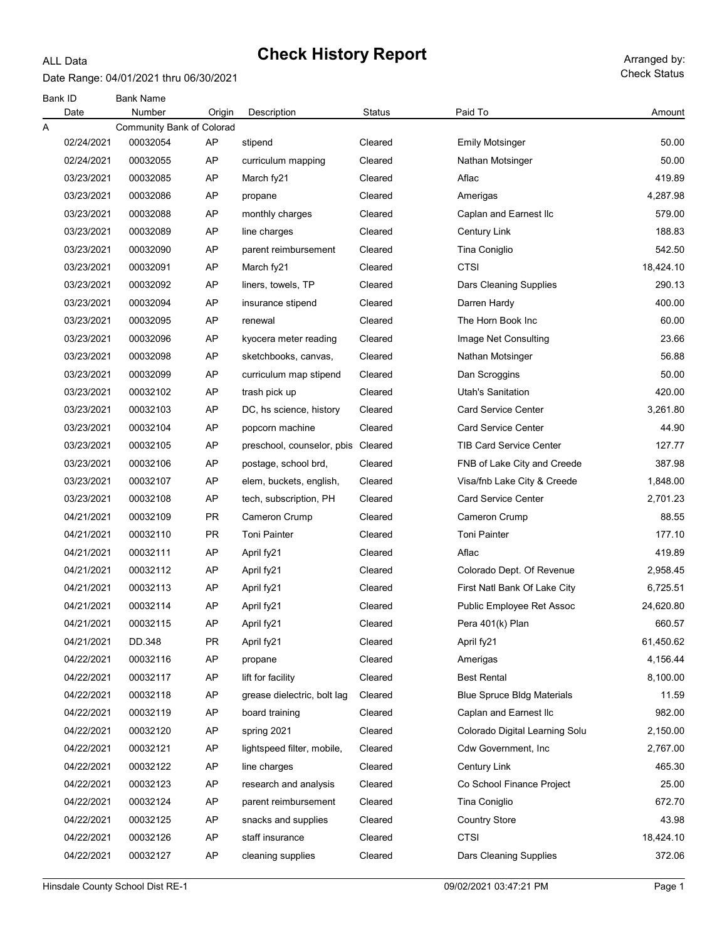#### ALL Data

Date Range: 04/01/2021 thru 06/30/2021

| Bank ID<br>Date | <b>Bank Name</b><br>Number | Origin    | Description                 | Status  | Paid To                           | Amount    |
|-----------------|----------------------------|-----------|-----------------------------|---------|-----------------------------------|-----------|
| Α               | Community Bank of Colorad  |           |                             |         |                                   |           |
| 02/24/2021      | 00032054                   | AP        | stipend                     | Cleared | <b>Emily Motsinger</b>            | 50.00     |
| 02/24/2021      | 00032055                   | AP        | curriculum mapping          | Cleared | Nathan Motsinger                  | 50.00     |
| 03/23/2021      | 00032085                   | AP        | March fy21                  | Cleared | Aflac                             | 419.89    |
| 03/23/2021      | 00032086                   | AP        | propane                     | Cleared | Amerigas                          | 4,287.98  |
| 03/23/2021      | 00032088                   | AP        | monthly charges             | Cleared | Caplan and Earnest Ilc            | 579.00    |
| 03/23/2021      | 00032089                   | AP        | line charges                | Cleared | <b>Century Link</b>               | 188.83    |
| 03/23/2021      | 00032090                   | AP        | parent reimbursement        | Cleared | Tina Coniglio                     | 542.50    |
| 03/23/2021      | 00032091                   | AP        | March fy21                  | Cleared | <b>CTSI</b>                       | 18,424.10 |
| 03/23/2021      | 00032092                   | AP        | liners, towels, TP          | Cleared | Dars Cleaning Supplies            | 290.13    |
| 03/23/2021      | 00032094                   | AP        | insurance stipend           | Cleared | Darren Hardy                      | 400.00    |
| 03/23/2021      | 00032095                   | AP        | renewal                     | Cleared | The Horn Book Inc                 | 60.00     |
| 03/23/2021      | 00032096                   | AP        | kyocera meter reading       | Cleared | Image Net Consulting              | 23.66     |
| 03/23/2021      | 00032098                   | AP        | sketchbooks, canvas,        | Cleared | Nathan Motsinger                  | 56.88     |
| 03/23/2021      | 00032099                   | AP        | curriculum map stipend      | Cleared | Dan Scroggins                     | 50.00     |
| 03/23/2021      | 00032102                   | AP        | trash pick up               | Cleared | <b>Utah's Sanitation</b>          | 420.00    |
| 03/23/2021      | 00032103                   | AP        | DC, hs science, history     | Cleared | <b>Card Service Center</b>        | 3,261.80  |
| 03/23/2021      | 00032104                   | AP        | popcorn machine             | Cleared | <b>Card Service Center</b>        | 44.90     |
| 03/23/2021      | 00032105                   | AP        | preschool, counselor, pbis  | Cleared | <b>TIB Card Service Center</b>    | 127.77    |
| 03/23/2021      | 00032106                   | AP        | postage, school brd,        | Cleared | FNB of Lake City and Creede       | 387.98    |
| 03/23/2021      | 00032107                   | AP        | elem, buckets, english,     | Cleared | Visa/fnb Lake City & Creede       | 1,848.00  |
| 03/23/2021      | 00032108                   | AP        | tech, subscription, PH      | Cleared | <b>Card Service Center</b>        | 2,701.23  |
| 04/21/2021      | 00032109                   | <b>PR</b> | Cameron Crump               | Cleared | Cameron Crump                     | 88.55     |
| 04/21/2021      | 00032110                   | <b>PR</b> | <b>Toni Painter</b>         | Cleared | <b>Toni Painter</b>               | 177.10    |
| 04/21/2021      | 00032111                   | AP        | April fy21                  | Cleared | Aflac                             | 419.89    |
| 04/21/2021      | 00032112                   | AP        | April fy21                  | Cleared | Colorado Dept. Of Revenue         | 2,958.45  |
| 04/21/2021      | 00032113                   | AP        | April fy21                  | Cleared | First Natl Bank Of Lake City      | 6,725.51  |
| 04/21/2021      | 00032114                   | AP        | April fy21                  | Cleared | Public Employee Ret Assoc         | 24,620.80 |
| 04/21/2021      | 00032115                   | АP        | April fy21                  | Cleared | Pera 401(k) Plan                  | 660.57    |
| 04/21/2021      | DD.348                     | <b>PR</b> | April fy21                  | Cleared | April fy21                        | 61,450.62 |
| 04/22/2021      | 00032116                   | AP        | propane                     | Cleared | Amerigas                          | 4,156.44  |
| 04/22/2021      | 00032117                   | AP        | lift for facility           | Cleared | <b>Best Rental</b>                | 8,100.00  |
| 04/22/2021      | 00032118                   | AP        | grease dielectric, bolt lag | Cleared | <b>Blue Spruce Bldg Materials</b> | 11.59     |
| 04/22/2021      | 00032119                   | AP        | board training              | Cleared | Caplan and Earnest Ilc            | 982.00    |
| 04/22/2021      | 00032120                   | AP        | spring 2021                 | Cleared | Colorado Digital Learning Solu    | 2,150.00  |
| 04/22/2021      | 00032121                   | AP        | lightspeed filter, mobile,  | Cleared | Cdw Government, Inc               | 2,767.00  |
| 04/22/2021      | 00032122                   | AP        | line charges                | Cleared | Century Link                      | 465.30    |
| 04/22/2021      | 00032123                   | AP        | research and analysis       | Cleared | Co School Finance Project         | 25.00     |
| 04/22/2021      | 00032124                   | AP        | parent reimbursement        | Cleared | Tina Coniglio                     | 672.70    |
| 04/22/2021      | 00032125                   | AP        | snacks and supplies         | Cleared | <b>Country Store</b>              | 43.98     |
| 04/22/2021      | 00032126                   | AP        | staff insurance             | Cleared | <b>CTSI</b>                       | 18,424.10 |
| 04/22/2021      | 00032127                   | AP        | cleaning supplies           | Cleared | Dars Cleaning Supplies            | 372.06    |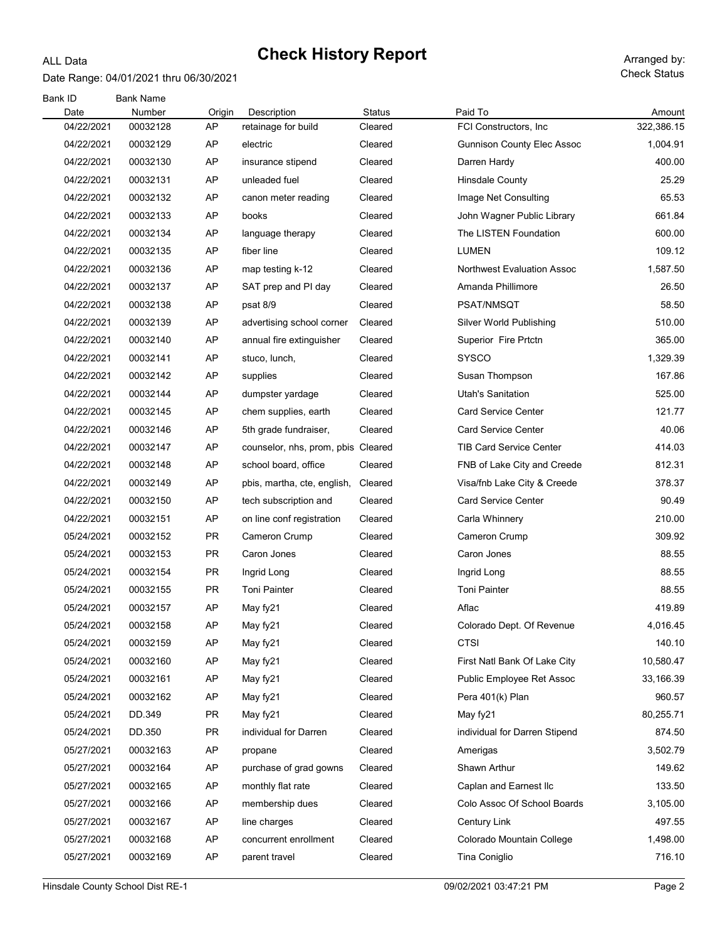#### Date Range: 04/01/2021 thru 06/30/2021

ALL Data

Check Status

| Bank ID<br>Date | <b>Bank Name</b><br>Number | Origin    | Description                        | <b>Status</b> | Paid To                           | Amount     |
|-----------------|----------------------------|-----------|------------------------------------|---------------|-----------------------------------|------------|
| 04/22/2021      | 00032128                   | AP        | retainage for build                | Cleared       | FCI Constructors, Inc.            | 322,386.15 |
| 04/22/2021      | 00032129                   | AP        | electric                           | Cleared       | <b>Gunnison County Elec Assoc</b> | 1,004.91   |
| 04/22/2021      | 00032130                   | AP        | insurance stipend                  | Cleared       | Darren Hardy                      | 400.00     |
| 04/22/2021      | 00032131                   | AP        | unleaded fuel                      | Cleared       | <b>Hinsdale County</b>            | 25.29      |
| 04/22/2021      | 00032132                   | AP        | canon meter reading                | Cleared       | Image Net Consulting              | 65.53      |
| 04/22/2021      | 00032133                   | AP        | books                              | Cleared       | John Wagner Public Library        | 661.84     |
| 04/22/2021      | 00032134                   | AP        | language therapy                   | Cleared       | The LISTEN Foundation             | 600.00     |
| 04/22/2021      | 00032135                   | AP        | fiber line                         | Cleared       | <b>LUMEN</b>                      | 109.12     |
| 04/22/2021      | 00032136                   | AP        | map testing k-12                   | Cleared       | <b>Northwest Evaluation Assoc</b> | 1,587.50   |
| 04/22/2021      | 00032137                   | AP        | SAT prep and PI day                | Cleared       | Amanda Phillimore                 | 26.50      |
| 04/22/2021      | 00032138                   | AP        | psat 8/9                           | Cleared       | PSAT/NMSQT                        | 58.50      |
| 04/22/2021      | 00032139                   | AP        | advertising school corner          | Cleared       | Silver World Publishing           | 510.00     |
| 04/22/2021      | 00032140                   | AP        | annual fire extinguisher           | Cleared       | Superior Fire Prtctn              | 365.00     |
| 04/22/2021      | 00032141                   | AP        | stuco, lunch,                      | Cleared       | <b>SYSCO</b>                      | 1,329.39   |
| 04/22/2021      | 00032142                   | AP        | supplies                           | Cleared       | Susan Thompson                    | 167.86     |
| 04/22/2021      | 00032144                   | AP        | dumpster yardage                   | Cleared       | <b>Utah's Sanitation</b>          | 525.00     |
| 04/22/2021      | 00032145                   | AP        | chem supplies, earth               | Cleared       | <b>Card Service Center</b>        | 121.77     |
| 04/22/2021      | 00032146                   | AP        | 5th grade fundraiser,              | Cleared       | <b>Card Service Center</b>        | 40.06      |
| 04/22/2021      | 00032147                   | AP        | counselor, nhs, prom, pbis Cleared |               | <b>TIB Card Service Center</b>    | 414.03     |
| 04/22/2021      | 00032148                   | AP        | school board, office               | Cleared       | FNB of Lake City and Creede       | 812.31     |
| 04/22/2021      | 00032149                   | AP        | pbis, martha, cte, english,        | Cleared       | Visa/fnb Lake City & Creede       | 378.37     |
| 04/22/2021      | 00032150                   | AP        | tech subscription and              | Cleared       | <b>Card Service Center</b>        | 90.49      |
| 04/22/2021      | 00032151                   | AP        | on line conf registration          | Cleared       | Carla Whinnery                    | 210.00     |
| 05/24/2021      | 00032152                   | <b>PR</b> | Cameron Crump                      | Cleared       | Cameron Crump                     | 309.92     |
| 05/24/2021      | 00032153                   | <b>PR</b> | Caron Jones                        | Cleared       | Caron Jones                       | 88.55      |
| 05/24/2021      | 00032154                   | <b>PR</b> | Ingrid Long                        | Cleared       | Ingrid Long                       | 88.55      |
| 05/24/2021      | 00032155                   | <b>PR</b> | <b>Toni Painter</b>                | Cleared       | <b>Toni Painter</b>               | 88.55      |
| 05/24/2021      | 00032157                   | AP        | May fy21                           | Cleared       | Aflac                             | 419.89     |
| 05/24/2021      | 00032158                   | AP        | May fy21                           | Cleared       | Colorado Dept. Of Revenue         | 4,016.45   |
| 05/24/2021      | 00032159                   | AP        | May fy21                           | Cleared       | <b>CTSI</b>                       | 140.10     |
| 05/24/2021      | 00032160                   | AP        | May fy21                           | Cleared       | First Natl Bank Of Lake City      | 10,580.47  |
| 05/24/2021      | 00032161                   | AP        | May fy21                           | Cleared       | Public Employee Ret Assoc         | 33,166.39  |
| 05/24/2021      | 00032162                   | AP        | May fy21                           | Cleared       | Pera 401(k) Plan                  | 960.57     |
| 05/24/2021      | DD.349                     | <b>PR</b> | May fy21                           | Cleared       | May fy21                          | 80,255.71  |
| 05/24/2021      | DD.350                     | <b>PR</b> | individual for Darren              | Cleared       | individual for Darren Stipend     | 874.50     |
| 05/27/2021      | 00032163                   | AP        | propane                            | Cleared       | Amerigas                          | 3,502.79   |
| 05/27/2021      | 00032164                   | AP        | purchase of grad gowns             | Cleared       | Shawn Arthur                      | 149.62     |
| 05/27/2021      | 00032165                   | AP        | monthly flat rate                  | Cleared       | Caplan and Earnest IIc            | 133.50     |
| 05/27/2021      | 00032166                   | AP        | membership dues                    | Cleared       | Colo Assoc Of School Boards       | 3,105.00   |
| 05/27/2021      | 00032167                   | AP        | line charges                       | Cleared       | Century Link                      | 497.55     |
| 05/27/2021      | 00032168                   | AP        | concurrent enrollment              | Cleared       | Colorado Mountain College         | 1,498.00   |
| 05/27/2021      | 00032169                   | AP        | parent travel                      | Cleared       | Tina Coniglio                     | 716.10     |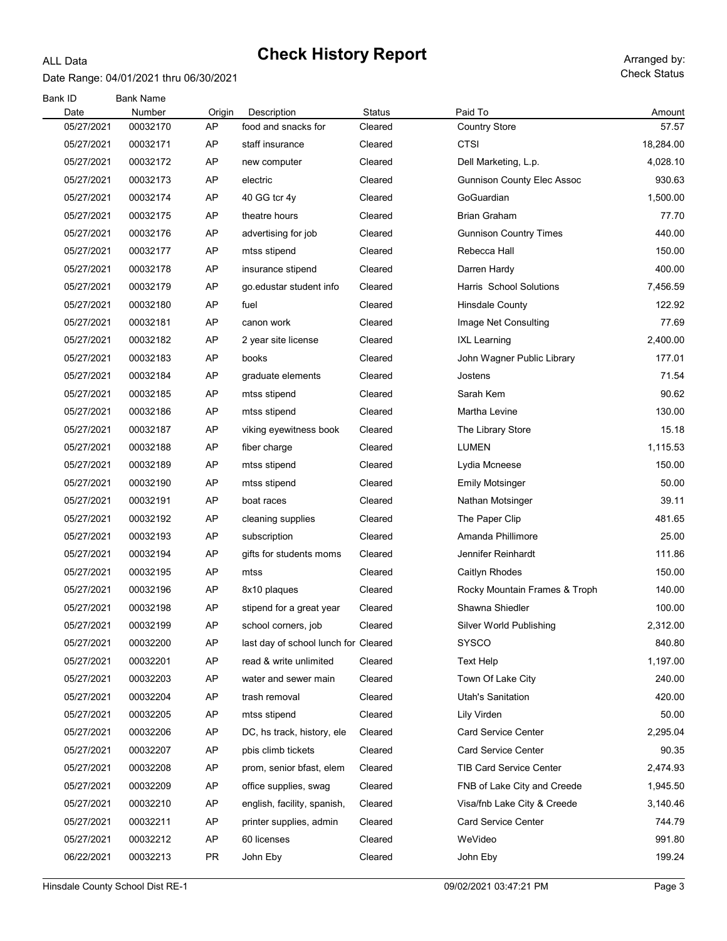#### ALL Data

Date Range: 04/01/2021 thru 06/30/2021

| Bank ID<br>Date | <b>Bank Name</b><br>Number | Origin    | Description                          | <b>Status</b> | Paid To                           | Amount    |
|-----------------|----------------------------|-----------|--------------------------------------|---------------|-----------------------------------|-----------|
| 05/27/2021      | 00032170                   | AP        | food and snacks for                  | Cleared       | <b>Country Store</b>              | 57.57     |
| 05/27/2021      | 00032171                   | AP        | staff insurance                      | Cleared       | <b>CTSI</b>                       | 18,284.00 |
| 05/27/2021      | 00032172                   | AP        | new computer                         | Cleared       | Dell Marketing, L.p.              | 4,028.10  |
| 05/27/2021      | 00032173                   | AP        | electric                             | Cleared       | <b>Gunnison County Elec Assoc</b> | 930.63    |
| 05/27/2021      | 00032174                   | AP        | 40 GG tcr 4y                         | Cleared       | GoGuardian                        | 1,500.00  |
| 05/27/2021      | 00032175                   | AP        | theatre hours                        | Cleared       | <b>Brian Graham</b>               | 77.70     |
| 05/27/2021      | 00032176                   | AP        | advertising for job                  | Cleared       | <b>Gunnison Country Times</b>     | 440.00    |
| 05/27/2021      | 00032177                   | AP        | mtss stipend                         | Cleared       | Rebecca Hall                      | 150.00    |
| 05/27/2021      | 00032178                   | AP        | insurance stipend                    | Cleared       | Darren Hardy                      | 400.00    |
| 05/27/2021      | 00032179                   | AP        | go edustar student info              | Cleared       | Harris School Solutions           | 7,456.59  |
| 05/27/2021      | 00032180                   | AP        | fuel                                 | Cleared       | <b>Hinsdale County</b>            | 122.92    |
| 05/27/2021      | 00032181                   | AP        | canon work                           | Cleared       | Image Net Consulting              | 77.69     |
| 05/27/2021      | 00032182                   | AP        | 2 year site license                  | Cleared       | <b>IXL Learning</b>               | 2,400.00  |
| 05/27/2021      | 00032183                   | AP        | books                                | Cleared       | John Wagner Public Library        | 177.01    |
| 05/27/2021      | 00032184                   | AP        | graduate elements                    | Cleared       | Jostens                           | 71.54     |
| 05/27/2021      | 00032185                   | AP        | mtss stipend                         | Cleared       | Sarah Kem                         | 90.62     |
| 05/27/2021      | 00032186                   | AP        | mtss stipend                         | Cleared       | Martha Levine                     | 130.00    |
| 05/27/2021      | 00032187                   | AP        | viking eyewitness book               | Cleared       | The Library Store                 | 15.18     |
| 05/27/2021      | 00032188                   | AP        | fiber charge                         | Cleared       | LUMEN                             | 1,115.53  |
| 05/27/2021      | 00032189                   | AP        | mtss stipend                         | Cleared       | Lydia Mcneese                     | 150.00    |
| 05/27/2021      | 00032190                   | AP        | mtss stipend                         | Cleared       | <b>Emily Motsinger</b>            | 50.00     |
| 05/27/2021      | 00032191                   | AP        | boat races                           | Cleared       | Nathan Motsinger                  | 39.11     |
| 05/27/2021      | 00032192                   | AP        | cleaning supplies                    | Cleared       | The Paper Clip                    | 481.65    |
| 05/27/2021      | 00032193                   | AP        | subscription                         | Cleared       | Amanda Phillimore                 | 25.00     |
| 05/27/2021      | 00032194                   | AP        | gifts for students moms              | Cleared       | Jennifer Reinhardt                | 111.86    |
| 05/27/2021      | 00032195                   | AP        | mtss                                 | Cleared       | Caitlyn Rhodes                    | 150.00    |
| 05/27/2021      | 00032196                   | AP        | 8x10 plaques                         | Cleared       | Rocky Mountain Frames & Troph     | 140.00    |
| 05/27/2021      | 00032198                   | AP        | stipend for a great year             | Cleared       | Shawna Shiedler                   | 100.00    |
| 05/27/2021      | 00032199                   | AP        | school corners, job                  | Cleared       | <b>Silver World Publishing</b>    | 2,312.00  |
| 05/27/2021      | 00032200                   | AP        | last day of school lunch for Cleared |               | SYSCO                             | 840.80    |
| 05/27/2021      | 00032201                   | AP        | read & write unlimited               | Cleared       | <b>Text Help</b>                  | 1,197.00  |
| 05/27/2021      | 00032203                   | AP        | water and sewer main                 | Cleared       | Town Of Lake City                 | 240.00    |
| 05/27/2021      | 00032204                   | AP        | trash removal                        | Cleared       | <b>Utah's Sanitation</b>          | 420.00    |
| 05/27/2021      | 00032205                   | AP        | mtss stipend                         | Cleared       | Lily Virden                       | 50.00     |
| 05/27/2021      | 00032206                   | AP        | DC, hs track, history, ele           | Cleared       | <b>Card Service Center</b>        | 2,295.04  |
| 05/27/2021      | 00032207                   | AP        | pbis climb tickets                   | Cleared       | <b>Card Service Center</b>        | 90.35     |
| 05/27/2021      | 00032208                   | AP        | prom, senior bfast, elem             | Cleared       | <b>TIB Card Service Center</b>    | 2,474.93  |
| 05/27/2021      | 00032209                   | AP        | office supplies, swag                | Cleared       | FNB of Lake City and Creede       | 1,945.50  |
| 05/27/2021      | 00032210                   | AP        | english, facility, spanish,          | Cleared       | Visa/fnb Lake City & Creede       | 3,140.46  |
| 05/27/2021      | 00032211                   | AP        | printer supplies, admin              | Cleared       | <b>Card Service Center</b>        | 744.79    |
| 05/27/2021      | 00032212                   | AP        | 60 licenses                          | Cleared       | WeVideo                           | 991.80    |
| 06/22/2021      | 00032213                   | <b>PR</b> | John Eby                             | Cleared       | John Eby                          | 199.24    |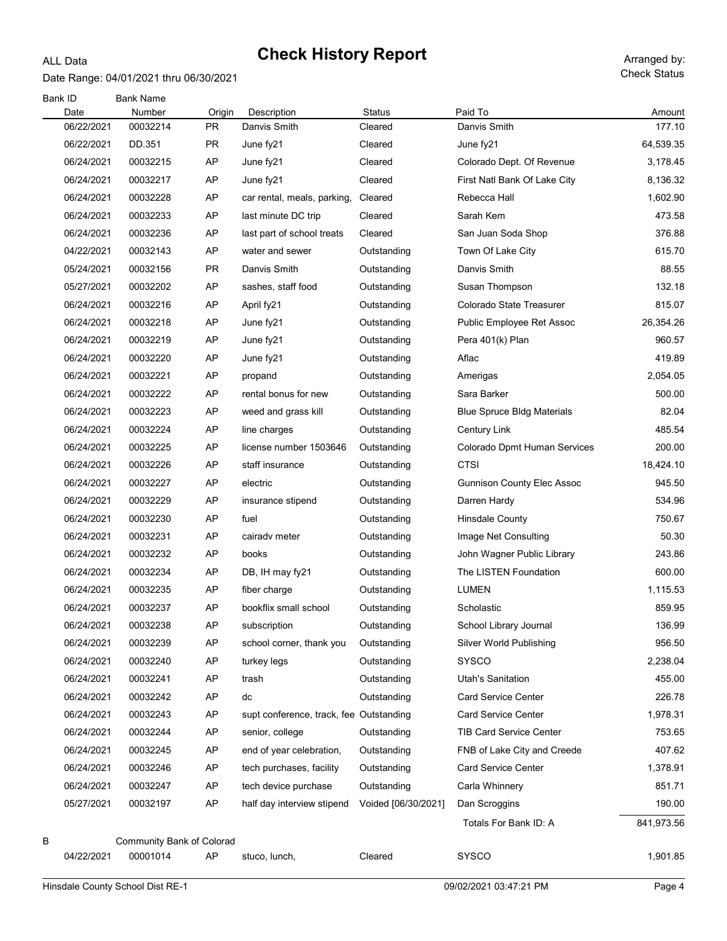### Date Range: 04/01/2021 thru 06/30/2021

ALL Data

| Bank ID<br>Date | <b>Bank Name</b><br>Number | Origin | Description                             | <b>Status</b>       | Paid To                           | Amount     |
|-----------------|----------------------------|--------|-----------------------------------------|---------------------|-----------------------------------|------------|
| 06/22/2021      | 00032214                   | PR     | Danvis Smith                            | Cleared             | Danvis Smith                      | 177.10     |
| 06/22/2021      | DD.351                     | PR.    | June fy21                               | Cleared             | June fy21                         | 64,539.35  |
| 06/24/2021      | 00032215                   | AP     | June fy21                               | Cleared             | Colorado Dept. Of Revenue         | 3,178.45   |
| 06/24/2021      | 00032217                   | AP     | June fy21                               | Cleared             | First Natl Bank Of Lake City      | 8,136.32   |
| 06/24/2021      | 00032228                   | AP     | car rental, meals, parking,             | Cleared             | Rebecca Hall                      | 1,602.90   |
| 06/24/2021      | 00032233                   | AP     | last minute DC trip                     | Cleared             | Sarah Kem                         | 473.58     |
| 06/24/2021      | 00032236                   | AP     | last part of school treats              | Cleared             | San Juan Soda Shop                | 376.88     |
| 04/22/2021      | 00032143                   | AP     | water and sewer                         | Outstanding         | Town Of Lake City                 | 615.70     |
| 05/24/2021      | 00032156                   | PR.    | Danvis Smith                            | Outstanding         | Danvis Smith                      | 88.55      |
| 05/27/2021      | 00032202                   | AP     | sashes, staff food                      | Outstanding         | Susan Thompson                    | 132.18     |
| 06/24/2021      | 00032216                   | AP     | April fy21                              | Outstanding         | Colorado State Treasurer          | 815.07     |
| 06/24/2021      | 00032218                   | AP     | June fy21                               | Outstanding         | Public Employee Ret Assoc         | 26,354.26  |
| 06/24/2021      | 00032219                   | AP     | June fy21                               | Outstanding         | Pera 401(k) Plan                  | 960.57     |
| 06/24/2021      | 00032220                   | AP     | June fy21                               | Outstanding         | Aflac                             | 419.89     |
| 06/24/2021      | 00032221                   | AP     | propand                                 | Outstanding         | Amerigas                          | 2,054.05   |
| 06/24/2021      | 00032222                   | AP     | rental bonus for new                    | Outstanding         | Sara Barker                       | 500.00     |
| 06/24/2021      | 00032223                   | AP     | weed and grass kill                     | Outstanding         | <b>Blue Spruce Bldg Materials</b> | 82.04      |
| 06/24/2021      | 00032224                   | AP     | line charges                            | Outstanding         | <b>Century Link</b>               | 485.54     |
| 06/24/2021      | 00032225                   | AP     | license number 1503646                  | Outstanding         | Colorado Dpmt Human Services      | 200.00     |
| 06/24/2021      | 00032226                   | AP     | staff insurance                         | Outstanding         | <b>CTSI</b>                       | 18,424.10  |
| 06/24/2021      | 00032227                   | AP     | electric                                | Outstanding         | <b>Gunnison County Elec Assoc</b> | 945.50     |
| 06/24/2021      | 00032229                   | AP     | insurance stipend                       | Outstanding         | Darren Hardy                      | 534.96     |
| 06/24/2021      | 00032230                   | AP     | fuel                                    | Outstanding         | Hinsdale County                   | 750.67     |
| 06/24/2021      | 00032231                   | AP     | cairady meter                           | Outstanding         | Image Net Consulting              | 50.30      |
| 06/24/2021      | 00032232                   | AP     | books                                   | Outstanding         | John Wagner Public Library        | 243.86     |
| 06/24/2021      | 00032234                   | AP     | DB, IH may fy21                         | Outstanding         | The LISTEN Foundation             | 600.00     |
| 06/24/2021      | 00032235                   | AP     | fiber charge                            | Outstanding         | <b>LUMEN</b>                      | 1,115.53   |
| 06/24/2021      | 00032237                   | AP     | bookflix small school                   | Outstanding         | Scholastic                        | 859.95     |
| 06/24/2021      | 00032238                   | AP     | subscription                            | Outstanding         | School Library Journal            | 136.99     |
| 06/24/2021      | 00032239                   | AP     | school corner, thank you                | Outstanding         | Silver World Publishing           | 956.50     |
| 06/24/2021      | 00032240                   | AP     | turkey legs                             | Outstanding         | <b>SYSCO</b>                      | 2,238.04   |
| 06/24/2021      | 00032241                   | AP     | trash                                   | Outstanding         | Utah's Sanitation                 | 455.00     |
| 06/24/2021      | 00032242                   | AP     | dc                                      | Outstanding         | <b>Card Service Center</b>        | 226.78     |
| 06/24/2021      | 00032243                   | AP     | supt conference, track, fee Outstanding |                     | <b>Card Service Center</b>        | 1,978.31   |
| 06/24/2021      | 00032244                   | AP     | senior, college                         | Outstanding         | <b>TIB Card Service Center</b>    | 753.65     |
| 06/24/2021      | 00032245                   | AP     | end of year celebration,                | Outstanding         | FNB of Lake City and Creede       | 407.62     |
| 06/24/2021      | 00032246                   | AP     | tech purchases, facility                | Outstanding         | <b>Card Service Center</b>        | 1,378.91   |
| 06/24/2021      | 00032247                   | AP     | tech device purchase                    | Outstanding         | Carla Whinnery                    | 851.71     |
| 05/27/2021      | 00032197                   | AP     | half day interview stipend              | Voided [06/30/2021] | Dan Scroggins                     | 190.00     |
|                 |                            |        |                                         |                     | Totals For Bank ID: A             | 841,973.56 |
| В               | Community Bank of Colorad  |        |                                         |                     |                                   |            |
| 04/22/2021      | 00001014                   | AP     | stuco, lunch,                           | Cleared             | <b>SYSCO</b>                      | 1,901.85   |